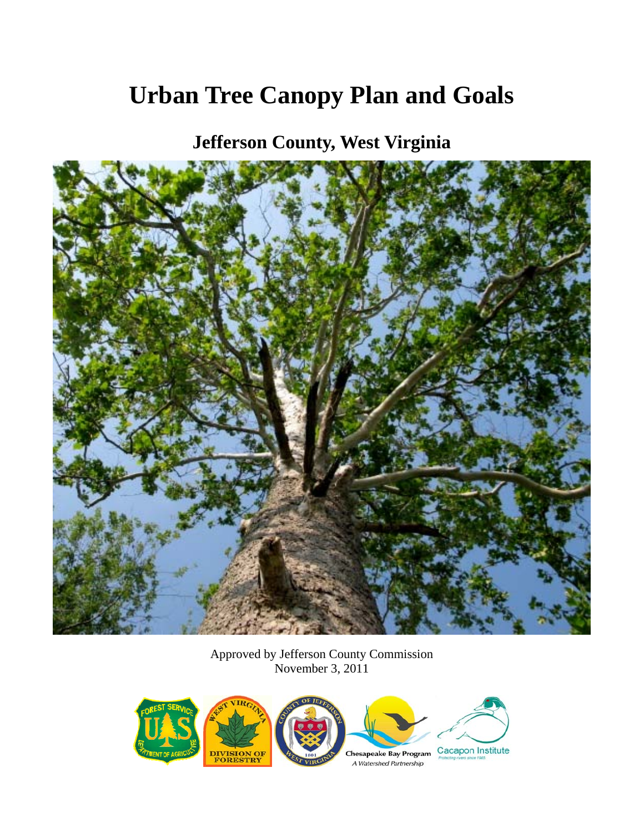# **Urban Tree Canopy Plan and Goals**

**Jefferson County, West Virginia** 



Approved by Jefferson County Commission November 3, 2011

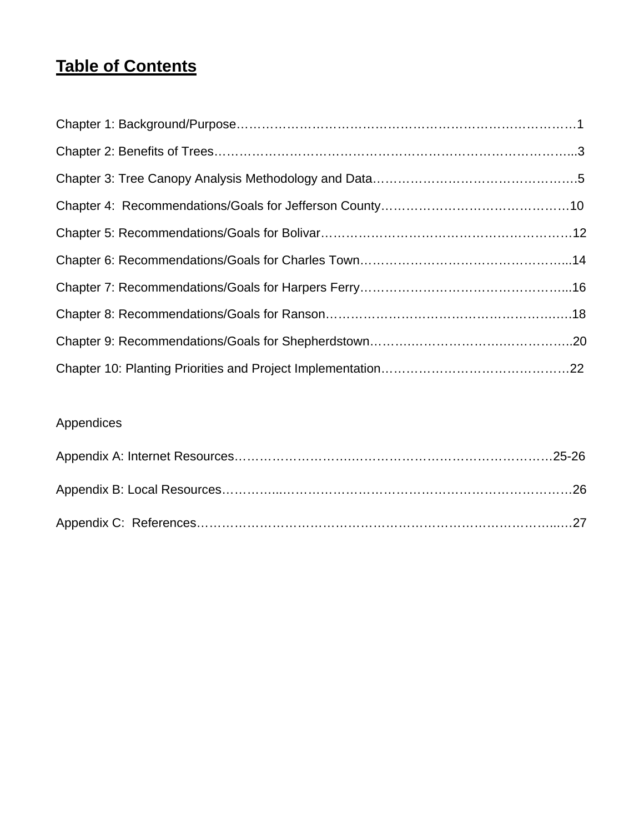## **Table of Contents**

## Appendices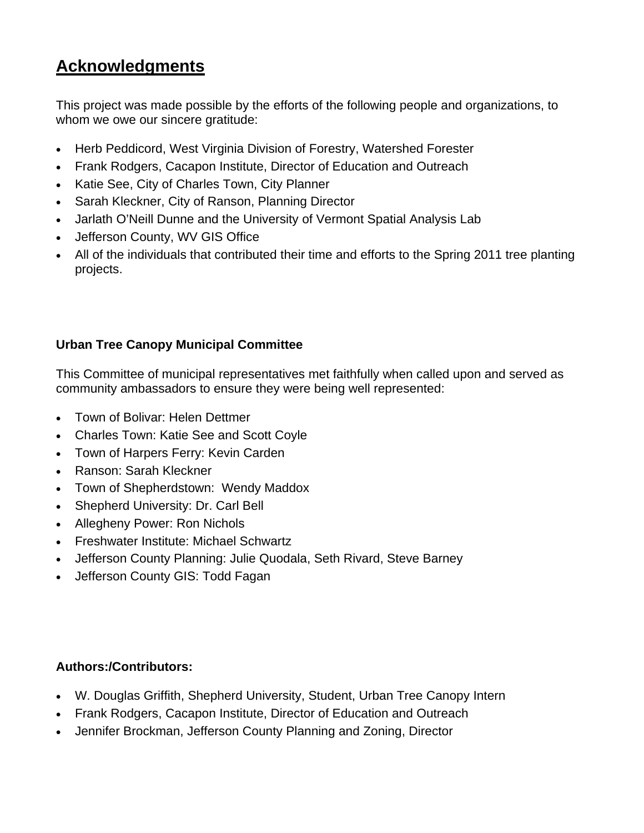## **Acknowledgments**

This project was made possible by the efforts of the following people and organizations, to whom we owe our sincere gratitude:

- Herb Peddicord, West Virginia Division of Forestry, Watershed Forester
- Frank Rodgers, Cacapon Institute, Director of Education and Outreach
- Katie See, City of Charles Town, City Planner
- Sarah Kleckner, City of Ranson, Planning Director
- Jarlath O'Neill Dunne and the University of Vermont Spatial Analysis Lab
- Jefferson County, WV GIS Office
- All of the individuals that contributed their time and efforts to the Spring 2011 tree planting projects.

## **Urban Tree Canopy Municipal Committee**

This Committee of municipal representatives met faithfully when called upon and served as community ambassadors to ensure they were being well represented:

- Town of Bolivar: Helen Dettmer
- Charles Town: Katie See and Scott Coyle
- Town of Harpers Ferry: Kevin Carden
- Ranson: Sarah Kleckner
- Town of Shepherdstown: Wendy Maddox
- Shepherd University: Dr. Carl Bell
- Allegheny Power: Ron Nichols
- Freshwater Institute: Michael Schwartz
- Jefferson County Planning: Julie Quodala, Seth Rivard, Steve Barney
- Jefferson County GIS: Todd Fagan

### **Authors:/Contributors:**

- W. Douglas Griffith, Shepherd University, Student, Urban Tree Canopy Intern
- Frank Rodgers, Cacapon Institute, Director of Education and Outreach
- Jennifer Brockman, Jefferson County Planning and Zoning, Director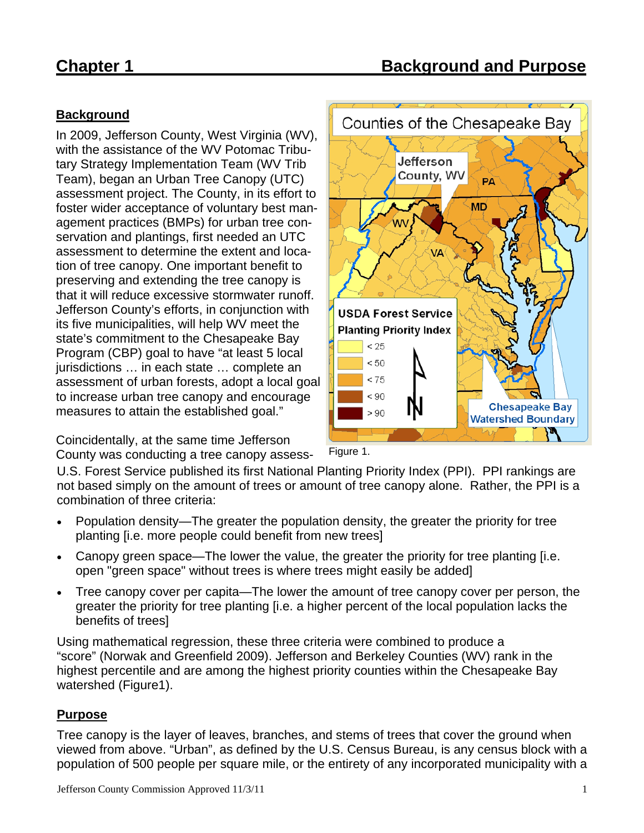## **Background**

In 2009, Jefferson County, West Virginia (WV), with the assistance of the WV Potomac Tributary Strategy Implementation Team (WV Trib Team), began an Urban Tree Canopy (UTC) assessment project. The County, in its effort to foster wider acceptance of voluntary best management practices (BMPs) for urban tree conservation and plantings, first needed an UTC assessment to determine the extent and location of tree canopy. One important benefit to preserving and extending the tree canopy is that it will reduce excessive stormwater runoff. Jefferson County's efforts, in conjunction with its five municipalities, will help WV meet the state's commitment to the Chesapeake Bay Program (CBP) goal to have "at least 5 local jurisdictions … in each state … complete an assessment of urban forests, adopt a local goal to increase urban tree canopy and encourage measures to attain the established goal."

Coincidentally, at the same time Jefferson County was conducting a tree canopy assess-



Figure 1.

U.S. Forest Service published its first National Planting Priority Index (PPI). PPI rankings are not based simply on the amount of trees or amount of tree canopy alone. Rather, the PPI is a combination of three criteria:

- Population density—The greater the population density, the greater the priority for tree planting [i.e. more people could benefit from new trees]
- Canopy green space—The lower the value, the greater the priority for tree planting [i.e. open "green space" without trees is where trees might easily be added]
- Tree canopy cover per capita—The lower the amount of tree canopy cover per person, the greater the priority for tree planting [i.e. a higher percent of the local population lacks the benefits of trees]

Using mathematical regression, these three criteria were combined to produce a "score" (Norwak and Greenfield 2009). Jefferson and Berkeley Counties (WV) rank in the highest percentile and are among the highest priority counties within the Chesapeake Bay watershed (Figure1).

### **Purpose**

Tree canopy is the layer of leaves, branches, and stems of trees that cover the ground when viewed from above. "Urban", as defined by the U.S. Census Bureau, is any census block with a population of 500 people per square mile, or the entirety of any incorporated municipality with a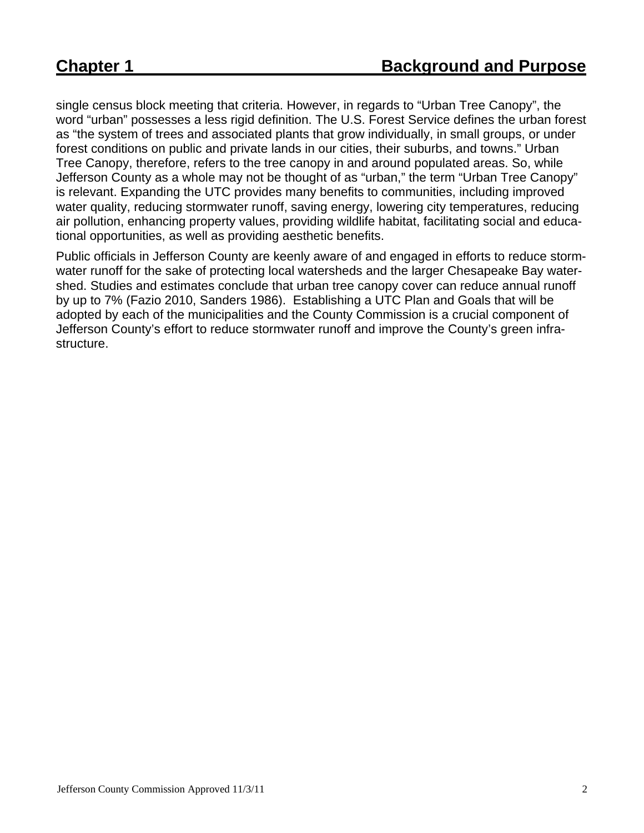single census block meeting that criteria. However, in regards to "Urban Tree Canopy", the word "urban" possesses a less rigid definition. The U.S. Forest Service defines the urban forest as "the system of trees and associated plants that grow individually, in small groups, or under forest conditions on public and private lands in our cities, their suburbs, and towns." Urban Tree Canopy, therefore, refers to the tree canopy in and around populated areas. So, while Jefferson County as a whole may not be thought of as "urban," the term "Urban Tree Canopy" is relevant. Expanding the UTC provides many benefits to communities, including improved water quality, reducing stormwater runoff, saving energy, lowering city temperatures, reducing air pollution, enhancing property values, providing wildlife habitat, facilitating social and educational opportunities, as well as providing aesthetic benefits.

Public officials in Jefferson County are keenly aware of and engaged in efforts to reduce stormwater runoff for the sake of protecting local watersheds and the larger Chesapeake Bay watershed. Studies and estimates conclude that urban tree canopy cover can reduce annual runoff by up to 7% (Fazio 2010, Sanders 1986). Establishing a UTC Plan and Goals that will be adopted by each of the municipalities and the County Commission is a crucial component of Jefferson County's effort to reduce stormwater runoff and improve the County's green infrastructure.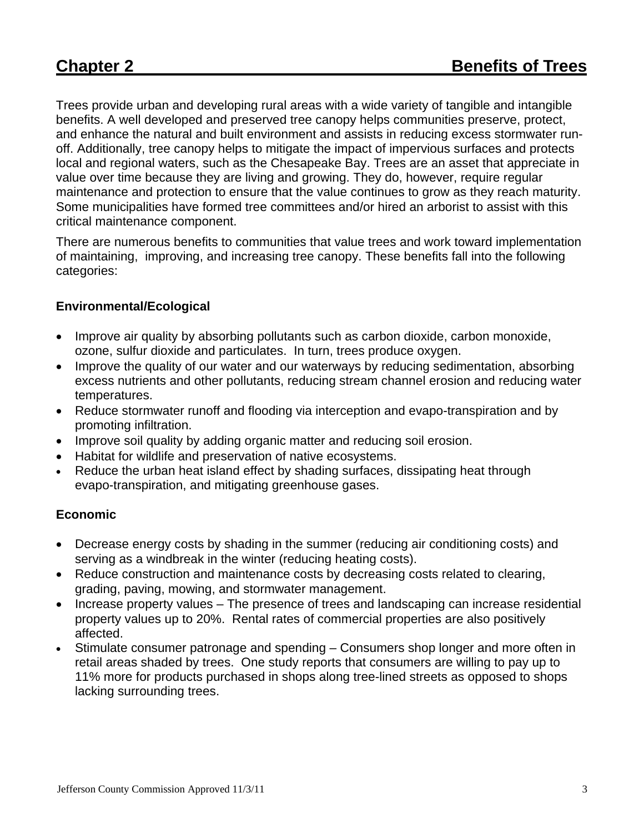Trees provide urban and developing rural areas with a wide variety of tangible and intangible benefits. A well developed and preserved tree canopy helps communities preserve, protect, and enhance the natural and built environment and assists in reducing excess stormwater runoff. Additionally, tree canopy helps to mitigate the impact of impervious surfaces and protects local and regional waters, such as the Chesapeake Bay. Trees are an asset that appreciate in value over time because they are living and growing. They do, however, require regular maintenance and protection to ensure that the value continues to grow as they reach maturity. Some municipalities have formed tree committees and/or hired an arborist to assist with this critical maintenance component.

There are numerous benefits to communities that value trees and work toward implementation of maintaining, improving, and increasing tree canopy. These benefits fall into the following categories:

### **Environmental/Ecological**

- Improve air quality by absorbing pollutants such as carbon dioxide, carbon monoxide, ozone, sulfur dioxide and particulates. In turn, trees produce oxygen.
- Improve the quality of our water and our waterways by reducing sedimentation, absorbing excess nutrients and other pollutants, reducing stream channel erosion and reducing water temperatures.
- Reduce stormwater runoff and flooding via interception and evapo-transpiration and by promoting infiltration.
- Improve soil quality by adding organic matter and reducing soil erosion.
- Habitat for wildlife and preservation of native ecosystems.
- Reduce the urban heat island effect by shading surfaces, dissipating heat through evapo-transpiration, and mitigating greenhouse gases.

### **Economic**

- Decrease energy costs by shading in the summer (reducing air conditioning costs) and serving as a windbreak in the winter (reducing heating costs).
- Reduce construction and maintenance costs by decreasing costs related to clearing, grading, paving, mowing, and stormwater management.
- Increase property values The presence of trees and landscaping can increase residential property values up to 20%. Rental rates of commercial properties are also positively affected.
- Stimulate consumer patronage and spending Consumers shop longer and more often in retail areas shaded by trees. One study reports that consumers are willing to pay up to 11% more for products purchased in shops along tree-lined streets as opposed to shops lacking surrounding trees.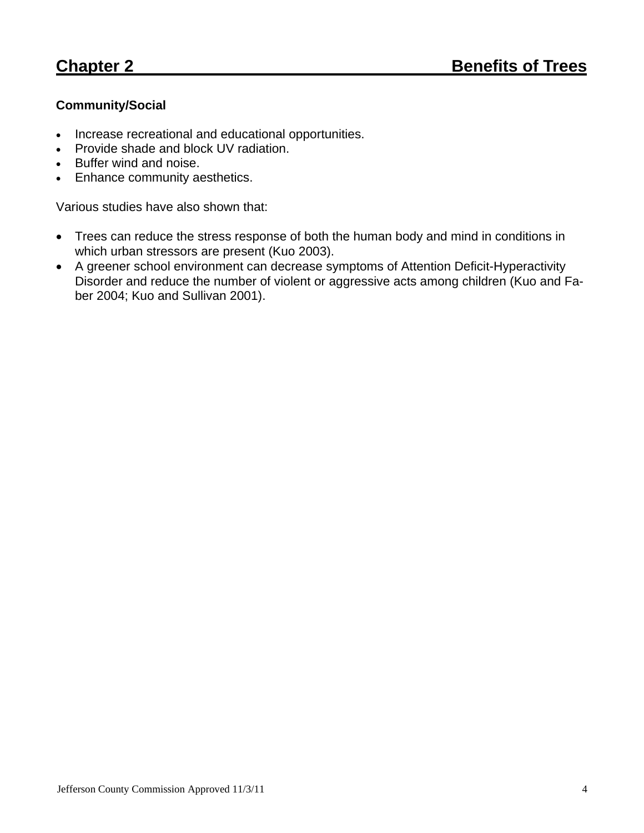## **Community/Social**

- Increase recreational and educational opportunities.
- Provide shade and block UV radiation.
- Buffer wind and noise.
- Enhance community aesthetics.

Various studies have also shown that:

- Trees can reduce the stress response of both the human body and mind in conditions in which urban stressors are present (Kuo 2003).
- A greener school environment can decrease symptoms of Attention Deficit-Hyperactivity Disorder and reduce the number of violent or aggressive acts among children (Kuo and Faber 2004; Kuo and Sullivan 2001).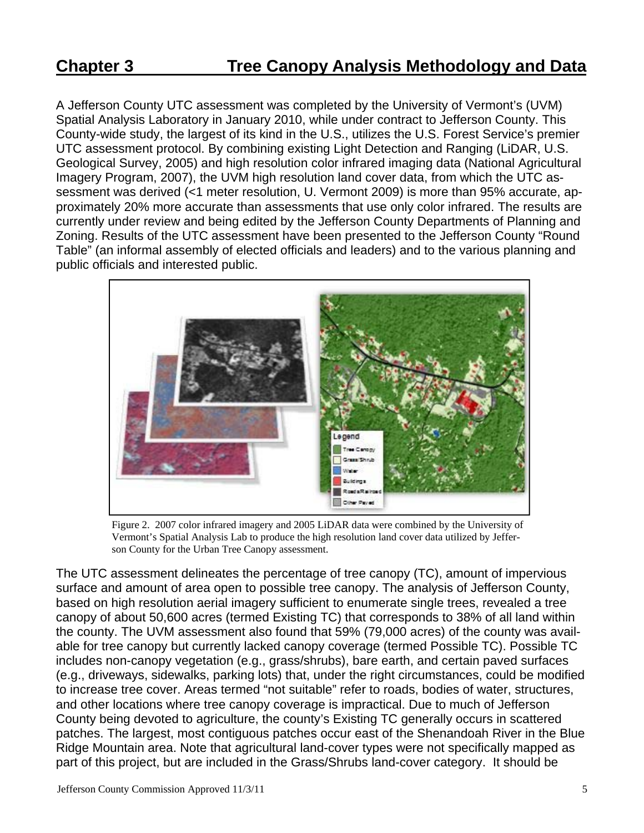A Jefferson County UTC assessment was completed by the University of Vermont's (UVM) Spatial Analysis Laboratory in January 2010, while under contract to Jefferson County. This County-wide study, the largest of its kind in the U.S., utilizes the U.S. Forest Service's premier UTC assessment protocol. By combining existing Light Detection and Ranging (LiDAR, U.S. Geological Survey, 2005) and high resolution color infrared imaging data (National Agricultural Imagery Program, 2007), the UVM high resolution land cover data, from which the UTC assessment was derived (<1 meter resolution, U. Vermont 2009) is more than 95% accurate, approximately 20% more accurate than assessments that use only color infrared. The results are currently under review and being edited by the Jefferson County Departments of Planning and Zoning. Results of the UTC assessment have been presented to the Jefferson County "Round Table" (an informal assembly of elected officials and leaders) and to the various planning and public officials and interested public.



Figure 2. 2007 color infrared imagery and 2005 LiDAR data were combined by the University of Vermont's Spatial Analysis Lab to produce the high resolution land cover data utilized by Jefferson County for the Urban Tree Canopy assessment.

The UTC assessment delineates the percentage of tree canopy (TC), amount of impervious surface and amount of area open to possible tree canopy. The analysis of Jefferson County, based on high resolution aerial imagery sufficient to enumerate single trees, revealed a tree canopy of about 50,600 acres (termed Existing TC) that corresponds to 38% of all land within the county. The UVM assessment also found that 59% (79,000 acres) of the county was available for tree canopy but currently lacked canopy coverage (termed Possible TC). Possible TC includes non-canopy vegetation (e.g., grass/shrubs), bare earth, and certain paved surfaces (e.g., driveways, sidewalks, parking lots) that, under the right circumstances, could be modified to increase tree cover. Areas termed "not suitable" refer to roads, bodies of water, structures, and other locations where tree canopy coverage is impractical. Due to much of Jefferson County being devoted to agriculture, the county's Existing TC generally occurs in scattered patches. The largest, most contiguous patches occur east of the Shenandoah River in the Blue Ridge Mountain area. Note that agricultural land-cover types were not specifically mapped as part of this project, but are included in the Grass/Shrubs land-cover category. It should be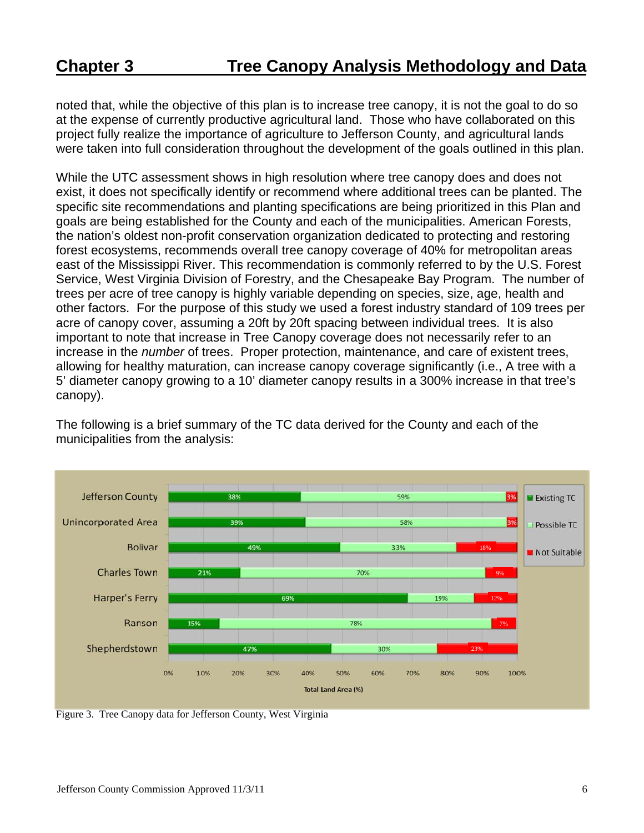noted that, while the objective of this plan is to increase tree canopy, it is not the goal to do so at the expense of currently productive agricultural land. Those who have collaborated on this project fully realize the importance of agriculture to Jefferson County, and agricultural lands were taken into full consideration throughout the development of the goals outlined in this plan.

While the UTC assessment shows in high resolution where tree canopy does and does not exist, it does not specifically identify or recommend where additional trees can be planted. The specific site recommendations and planting specifications are being prioritized in this Plan and goals are being established for the County and each of the municipalities. American Forests, the nation's oldest non-profit conservation organization dedicated to protecting and restoring forest ecosystems, recommends overall tree canopy coverage of 40% for metropolitan areas east of the Mississippi River. This recommendation is commonly referred to by the U.S. Forest Service, West Virginia Division of Forestry, and the Chesapeake Bay Program. The number of trees per acre of tree canopy is highly variable depending on species, size, age, health and other factors. For the purpose of this study we used a forest industry standard of 109 trees per acre of canopy cover, assuming a 20ft by 20ft spacing between individual trees. It is also important to note that increase in Tree Canopy coverage does not necessarily refer to an increase in the *number* of trees. Proper protection, maintenance, and care of existent trees, allowing for healthy maturation, can increase canopy coverage significantly (i.e., A tree with a 5' diameter canopy growing to a 10' diameter canopy results in a 300% increase in that tree's canopy).

The following is a brief summary of the TC data derived for the County and each of the municipalities from the analysis:



Figure 3. Tree Canopy data for Jefferson County, West Virginia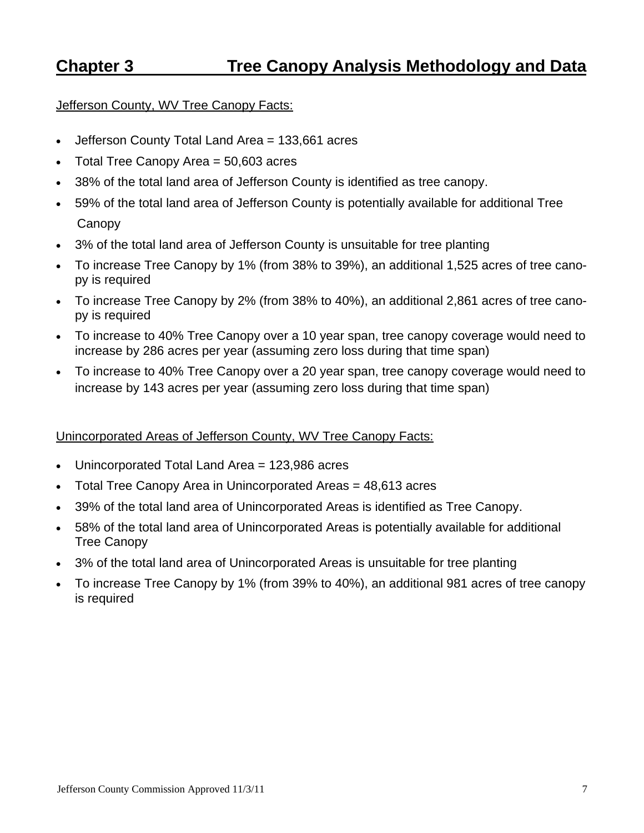## **Chapter 3 Tree Canopy Analysis Methodology and Data**

#### Jefferson County, WV Tree Canopy Facts:

- Jefferson County Total Land Area = 133,661 acres
- Total Tree Canopy Area  $=$  50,603 acres
- 38% of the total land area of Jefferson County is identified as tree canopy.
- 59% of the total land area of Jefferson County is potentially available for additional Tree **Canopy**
- 3% of the total land area of Jefferson County is unsuitable for tree planting
- To increase Tree Canopy by 1% (from 38% to 39%), an additional 1,525 acres of tree canopy is required
- To increase Tree Canopy by 2% (from 38% to 40%), an additional 2,861 acres of tree canopy is required
- To increase to 40% Tree Canopy over a 10 year span, tree canopy coverage would need to increase by 286 acres per year (assuming zero loss during that time span)
- To increase to 40% Tree Canopy over a 20 year span, tree canopy coverage would need to increase by 143 acres per year (assuming zero loss during that time span)

### Unincorporated Areas of Jefferson County, WV Tree Canopy Facts:

- Unincorporated Total Land Area = 123,986 acres
- Total Tree Canopy Area in Unincorporated Areas = 48,613 acres
- 39% of the total land area of Unincorporated Areas is identified as Tree Canopy.
- 58% of the total land area of Unincorporated Areas is potentially available for additional Tree Canopy
- 3% of the total land area of Unincorporated Areas is unsuitable for tree planting
- To increase Tree Canopy by 1% (from 39% to 40%), an additional 981 acres of tree canopy is required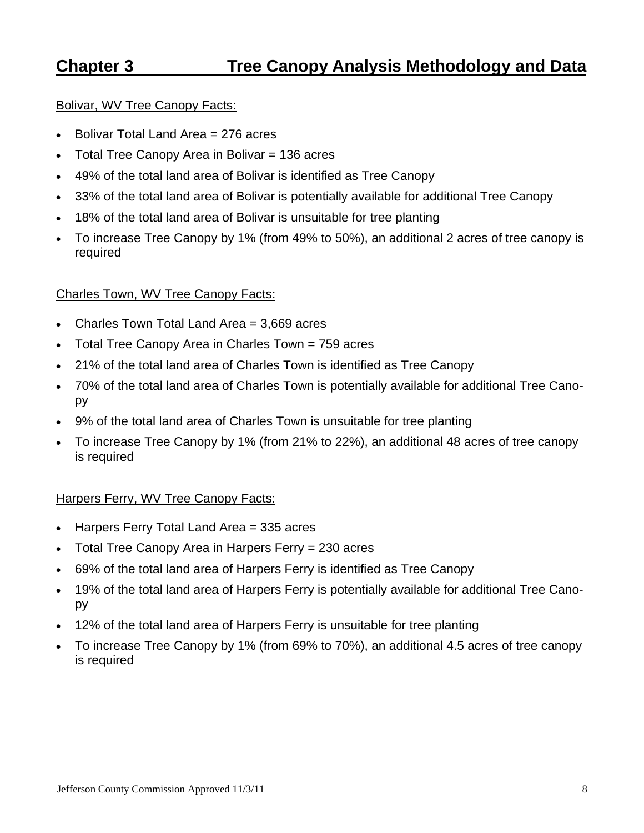## **Chapter 3 Tree Canopy Analysis Methodology and Data**

#### Bolivar, WV Tree Canopy Facts:

- $\bullet$  Bolivar Total Land Area = 276 acres
- Total Tree Canopy Area in Bolivar  $= 136$  acres
- 49% of the total land area of Bolivar is identified as Tree Canopy
- 33% of the total land area of Bolivar is potentially available for additional Tree Canopy
- 18% of the total land area of Bolivar is unsuitable for tree planting
- To increase Tree Canopy by 1% (from 49% to 50%), an additional 2 acres of tree canopy is required

#### Charles Town, WV Tree Canopy Facts:

- Charles Town Total Land Area = 3,669 acres
- Total Tree Canopy Area in Charles Town = 759 acres
- 21% of the total land area of Charles Town is identified as Tree Canopy
- 70% of the total land area of Charles Town is potentially available for additional Tree Canopy
- 9% of the total land area of Charles Town is unsuitable for tree planting
- To increase Tree Canopy by 1% (from 21% to 22%), an additional 48 acres of tree canopy is required

#### Harpers Ferry, WV Tree Canopy Facts:

- $\bullet$  Harpers Ferry Total Land Area = 335 acres
- Total Tree Canopy Area in Harpers Ferry = 230 acres
- 69% of the total land area of Harpers Ferry is identified as Tree Canopy
- 19% of the total land area of Harpers Ferry is potentially available for additional Tree Canopy
- 12% of the total land area of Harpers Ferry is unsuitable for tree planting
- To increase Tree Canopy by 1% (from 69% to 70%), an additional 4.5 acres of tree canopy is required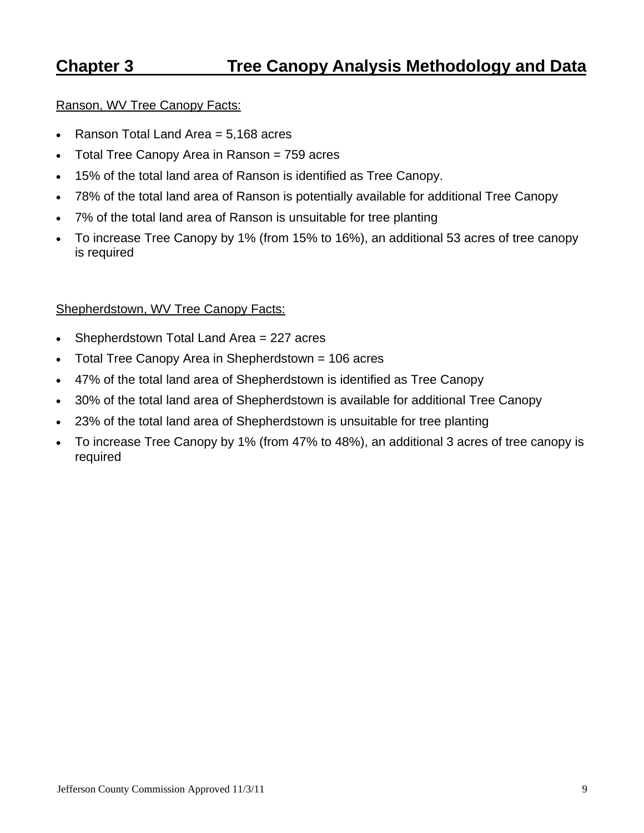## **Chapter 3 Tree Canopy Analysis Methodology and Data**

#### Ranson, WV Tree Canopy Facts:

- Ranson Total Land Area  $= 5,168$  acres
- Total Tree Canopy Area in Ranson = 759 acres
- 15% of the total land area of Ranson is identified as Tree Canopy.
- 78% of the total land area of Ranson is potentially available for additional Tree Canopy
- 7% of the total land area of Ranson is unsuitable for tree planting
- To increase Tree Canopy by 1% (from 15% to 16%), an additional 53 acres of tree canopy is required

#### Shepherdstown, WV Tree Canopy Facts:

- Shepherdstown Total Land Area = 227 acres
- Total Tree Canopy Area in Shepherdstown = 106 acres
- 47% of the total land area of Shepherdstown is identified as Tree Canopy
- 30% of the total land area of Shepherdstown is available for additional Tree Canopy
- 23% of the total land area of Shepherdstown is unsuitable for tree planting
- To increase Tree Canopy by 1% (from 47% to 48%), an additional 3 acres of tree canopy is required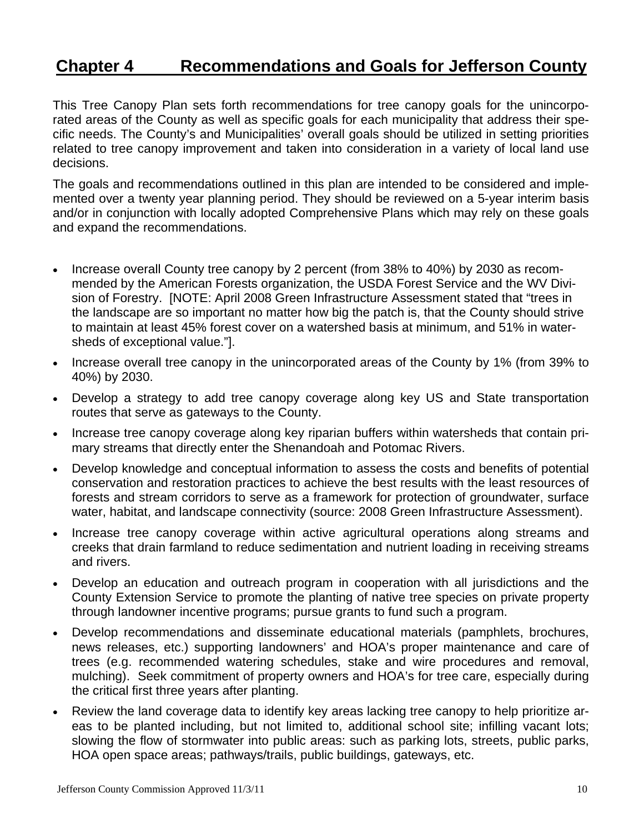## **Chapter 4 Recommendations and Goals for Jefferson County**

This Tree Canopy Plan sets forth recommendations for tree canopy goals for the unincorporated areas of the County as well as specific goals for each municipality that address their specific needs. The County's and Municipalities' overall goals should be utilized in setting priorities related to tree canopy improvement and taken into consideration in a variety of local land use decisions.

The goals and recommendations outlined in this plan are intended to be considered and implemented over a twenty year planning period. They should be reviewed on a 5-year interim basis and/or in conjunction with locally adopted Comprehensive Plans which may rely on these goals and expand the recommendations.

- Increase overall County tree canopy by 2 percent (from 38% to 40%) by 2030 as recommended by the American Forests organization, the USDA Forest Service and the WV Division of Forestry. [NOTE: April 2008 Green Infrastructure Assessment stated that "trees in the landscape are so important no matter how big the patch is, that the County should strive to maintain at least 45% forest cover on a watershed basis at minimum, and 51% in watersheds of exceptional value."].
- Increase overall tree canopy in the unincorporated areas of the County by 1% (from 39% to 40%) by 2030.
- Develop a strategy to add tree canopy coverage along key US and State transportation routes that serve as gateways to the County.
- Increase tree canopy coverage along key riparian buffers within watersheds that contain primary streams that directly enter the Shenandoah and Potomac Rivers.
- Develop knowledge and conceptual information to assess the costs and benefits of potential conservation and restoration practices to achieve the best results with the least resources of forests and stream corridors to serve as a framework for protection of groundwater, surface water, habitat, and landscape connectivity (source: 2008 Green Infrastructure Assessment).
- Increase tree canopy coverage within active agricultural operations along streams and creeks that drain farmland to reduce sedimentation and nutrient loading in receiving streams and rivers.
- Develop an education and outreach program in cooperation with all jurisdictions and the County Extension Service to promote the planting of native tree species on private property through landowner incentive programs; pursue grants to fund such a program.
- Develop recommendations and disseminate educational materials (pamphlets, brochures, news releases, etc.) supporting landowners' and HOA's proper maintenance and care of trees (e.g. recommended watering schedules, stake and wire procedures and removal, mulching). Seek commitment of property owners and HOA's for tree care, especially during the critical first three years after planting.
- Review the land coverage data to identify key areas lacking tree canopy to help prioritize areas to be planted including, but not limited to, additional school site; infilling vacant lots; slowing the flow of stormwater into public areas: such as parking lots, streets, public parks, HOA open space areas; pathways/trails, public buildings, gateways, etc.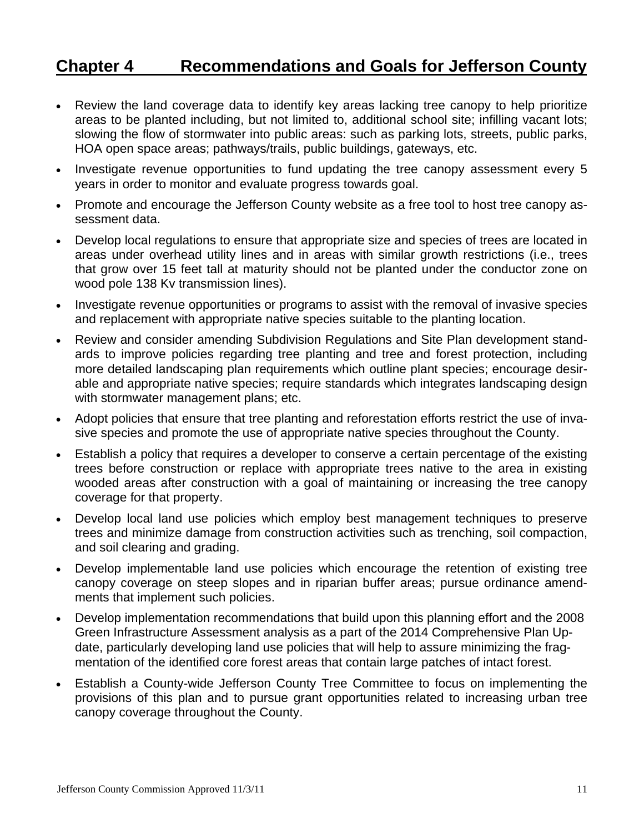## **Chapter 4 Recommendations and Goals for Jefferson County**

- Review the land coverage data to identify key areas lacking tree canopy to help prioritize areas to be planted including, but not limited to, additional school site; infilling vacant lots; slowing the flow of stormwater into public areas: such as parking lots, streets, public parks, HOA open space areas; pathways/trails, public buildings, gateways, etc.
- Investigate revenue opportunities to fund updating the tree canopy assessment every 5 years in order to monitor and evaluate progress towards goal.
- Promote and encourage the Jefferson County website as a free tool to host tree canopy assessment data.
- Develop local regulations to ensure that appropriate size and species of trees are located in areas under overhead utility lines and in areas with similar growth restrictions (i.e., trees that grow over 15 feet tall at maturity should not be planted under the conductor zone on wood pole 138 Kv transmission lines).
- Investigate revenue opportunities or programs to assist with the removal of invasive species and replacement with appropriate native species suitable to the planting location.
- Review and consider amending Subdivision Regulations and Site Plan development standards to improve policies regarding tree planting and tree and forest protection, including more detailed landscaping plan requirements which outline plant species; encourage desirable and appropriate native species; require standards which integrates landscaping design with stormwater management plans; etc.
- Adopt policies that ensure that tree planting and reforestation efforts restrict the use of invasive species and promote the use of appropriate native species throughout the County.
- Establish a policy that requires a developer to conserve a certain percentage of the existing trees before construction or replace with appropriate trees native to the area in existing wooded areas after construction with a goal of maintaining or increasing the tree canopy coverage for that property.
- Develop local land use policies which employ best management techniques to preserve trees and minimize damage from construction activities such as trenching, soil compaction, and soil clearing and grading.
- Develop implementable land use policies which encourage the retention of existing tree canopy coverage on steep slopes and in riparian buffer areas; pursue ordinance amendments that implement such policies.
- Develop implementation recommendations that build upon this planning effort and the 2008 Green Infrastructure Assessment analysis as a part of the 2014 Comprehensive Plan Update, particularly developing land use policies that will help to assure minimizing the fragmentation of the identified core forest areas that contain large patches of intact forest.
- Establish a County-wide Jefferson County Tree Committee to focus on implementing the provisions of this plan and to pursue grant opportunities related to increasing urban tree canopy coverage throughout the County.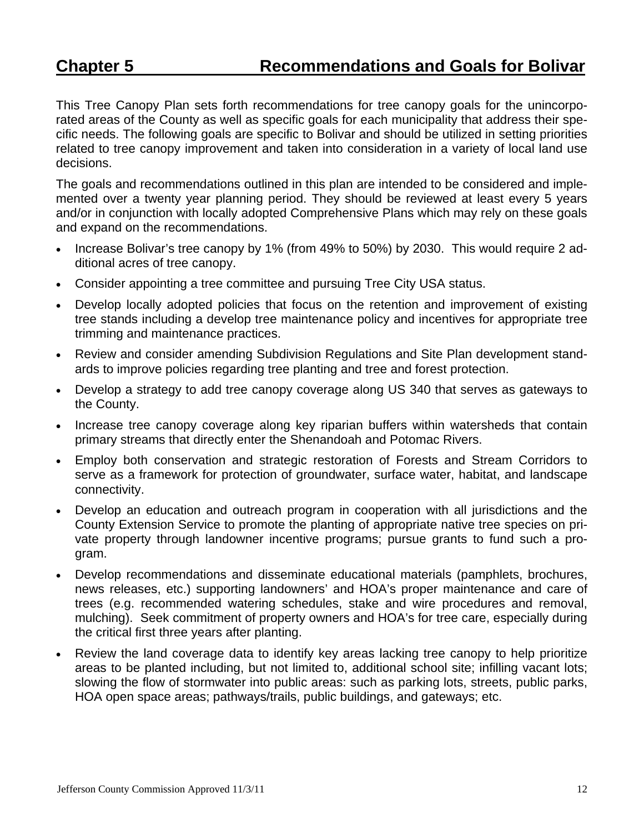This Tree Canopy Plan sets forth recommendations for tree canopy goals for the unincorporated areas of the County as well as specific goals for each municipality that address their specific needs. The following goals are specific to Bolivar and should be utilized in setting priorities related to tree canopy improvement and taken into consideration in a variety of local land use decisions.

The goals and recommendations outlined in this plan are intended to be considered and implemented over a twenty year planning period. They should be reviewed at least every 5 years and/or in conjunction with locally adopted Comprehensive Plans which may rely on these goals and expand on the recommendations.

- Increase Bolivar's tree canopy by 1% (from 49% to 50%) by 2030. This would require 2 additional acres of tree canopy.
- Consider appointing a tree committee and pursuing Tree City USA status.
- Develop locally adopted policies that focus on the retention and improvement of existing tree stands including a develop tree maintenance policy and incentives for appropriate tree trimming and maintenance practices.
- Review and consider amending Subdivision Regulations and Site Plan development standards to improve policies regarding tree planting and tree and forest protection.
- Develop a strategy to add tree canopy coverage along US 340 that serves as gateways to the County.
- Increase tree canopy coverage along key riparian buffers within watersheds that contain primary streams that directly enter the Shenandoah and Potomac Rivers.
- Employ both conservation and strategic restoration of Forests and Stream Corridors to serve as a framework for protection of groundwater, surface water, habitat, and landscape connectivity.
- Develop an education and outreach program in cooperation with all jurisdictions and the County Extension Service to promote the planting of appropriate native tree species on private property through landowner incentive programs; pursue grants to fund such a program.
- Develop recommendations and disseminate educational materials (pamphlets, brochures, news releases, etc.) supporting landowners' and HOA's proper maintenance and care of trees (e.g. recommended watering schedules, stake and wire procedures and removal, mulching). Seek commitment of property owners and HOA's for tree care, especially during the critical first three years after planting.
- Review the land coverage data to identify key areas lacking tree canopy to help prioritize areas to be planted including, but not limited to, additional school site; infilling vacant lots; slowing the flow of stormwater into public areas: such as parking lots, streets, public parks, HOA open space areas; pathways/trails, public buildings, and gateways; etc.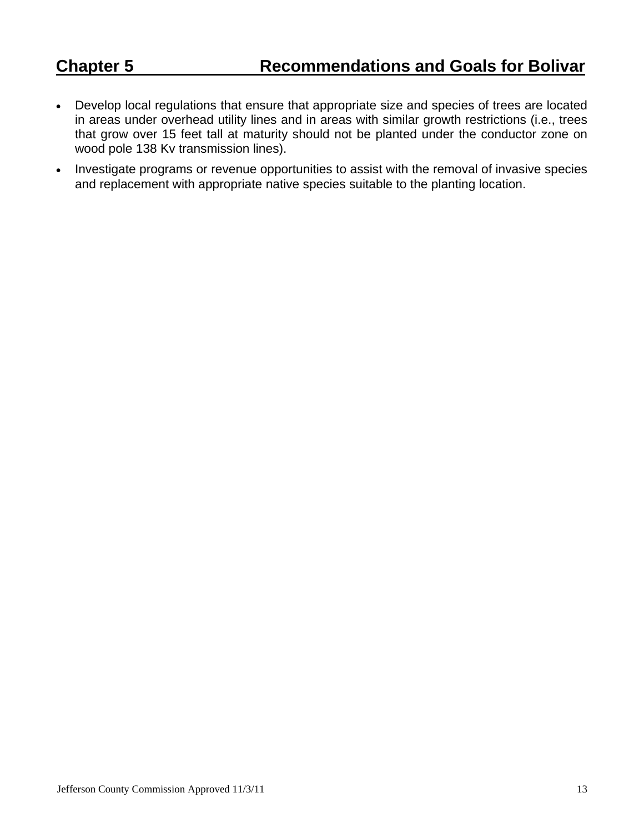- Develop local regulations that ensure that appropriate size and species of trees are located in areas under overhead utility lines and in areas with similar growth restrictions (i.e., trees that grow over 15 feet tall at maturity should not be planted under the conductor zone on wood pole 138 Kv transmission lines).
- Investigate programs or revenue opportunities to assist with the removal of invasive species and replacement with appropriate native species suitable to the planting location.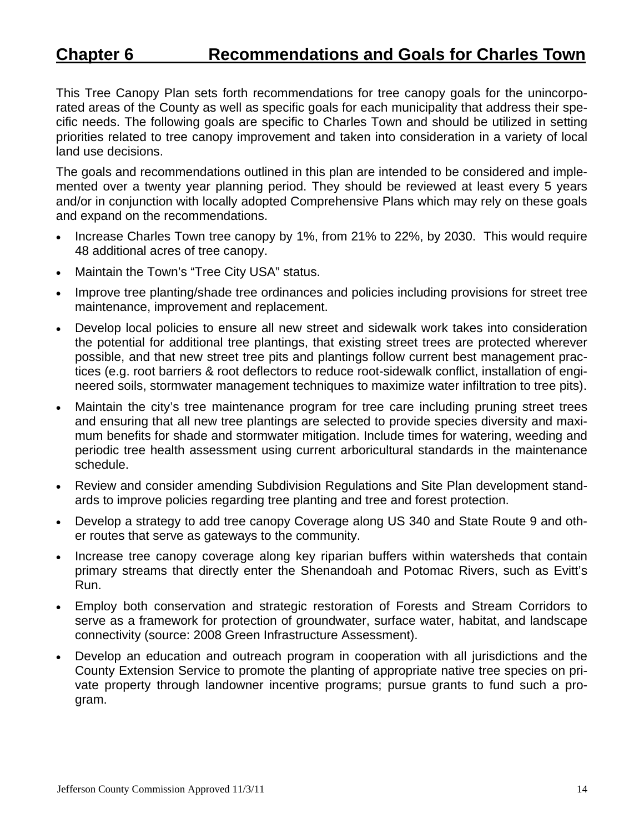## **Chapter 6 Recommendations and Goals for Charles Town**

This Tree Canopy Plan sets forth recommendations for tree canopy goals for the unincorporated areas of the County as well as specific goals for each municipality that address their specific needs. The following goals are specific to Charles Town and should be utilized in setting priorities related to tree canopy improvement and taken into consideration in a variety of local land use decisions.

The goals and recommendations outlined in this plan are intended to be considered and implemented over a twenty year planning period. They should be reviewed at least every 5 years and/or in conjunction with locally adopted Comprehensive Plans which may rely on these goals and expand on the recommendations.

- Increase Charles Town tree canopy by 1%, from 21% to 22%, by 2030. This would require 48 additional acres of tree canopy.
- Maintain the Town's "Tree City USA" status.
- Improve tree planting/shade tree ordinances and policies including provisions for street tree maintenance, improvement and replacement.
- Develop local policies to ensure all new street and sidewalk work takes into consideration the potential for additional tree plantings, that existing street trees are protected wherever possible, and that new street tree pits and plantings follow current best management practices (e.g. root barriers & root deflectors to reduce root-sidewalk conflict, installation of engineered soils, stormwater management techniques to maximize water infiltration to tree pits).
- Maintain the city's tree maintenance program for tree care including pruning street trees and ensuring that all new tree plantings are selected to provide species diversity and maximum benefits for shade and stormwater mitigation. Include times for watering, weeding and periodic tree health assessment using current arboricultural standards in the maintenance schedule.
- Review and consider amending Subdivision Regulations and Site Plan development standards to improve policies regarding tree planting and tree and forest protection.
- Develop a strategy to add tree canopy Coverage along US 340 and State Route 9 and other routes that serve as gateways to the community.
- Increase tree canopy coverage along key riparian buffers within watersheds that contain primary streams that directly enter the Shenandoah and Potomac Rivers, such as Evitt's Run.
- Employ both conservation and strategic restoration of Forests and Stream Corridors to serve as a framework for protection of groundwater, surface water, habitat, and landscape connectivity (source: 2008 Green Infrastructure Assessment).
- Develop an education and outreach program in cooperation with all jurisdictions and the County Extension Service to promote the planting of appropriate native tree species on private property through landowner incentive programs; pursue grants to fund such a program.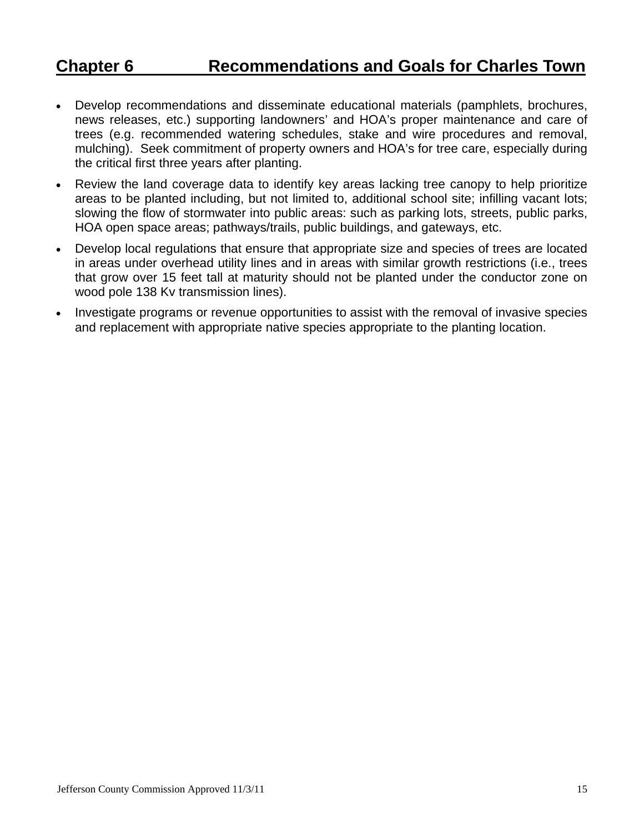## **Chapter 6 Recommendations and Goals for Charles Town**

- Develop recommendations and disseminate educational materials (pamphlets, brochures, news releases, etc.) supporting landowners' and HOA's proper maintenance and care of trees (e.g. recommended watering schedules, stake and wire procedures and removal, mulching). Seek commitment of property owners and HOA's for tree care, especially during the critical first three years after planting.
- Review the land coverage data to identify key areas lacking tree canopy to help prioritize areas to be planted including, but not limited to, additional school site; infilling vacant lots; slowing the flow of stormwater into public areas: such as parking lots, streets, public parks, HOA open space areas; pathways/trails, public buildings, and gateways, etc.
- Develop local regulations that ensure that appropriate size and species of trees are located in areas under overhead utility lines and in areas with similar growth restrictions (i.e., trees that grow over 15 feet tall at maturity should not be planted under the conductor zone on wood pole 138 Kv transmission lines).
- Investigate programs or revenue opportunities to assist with the removal of invasive species and replacement with appropriate native species appropriate to the planting location.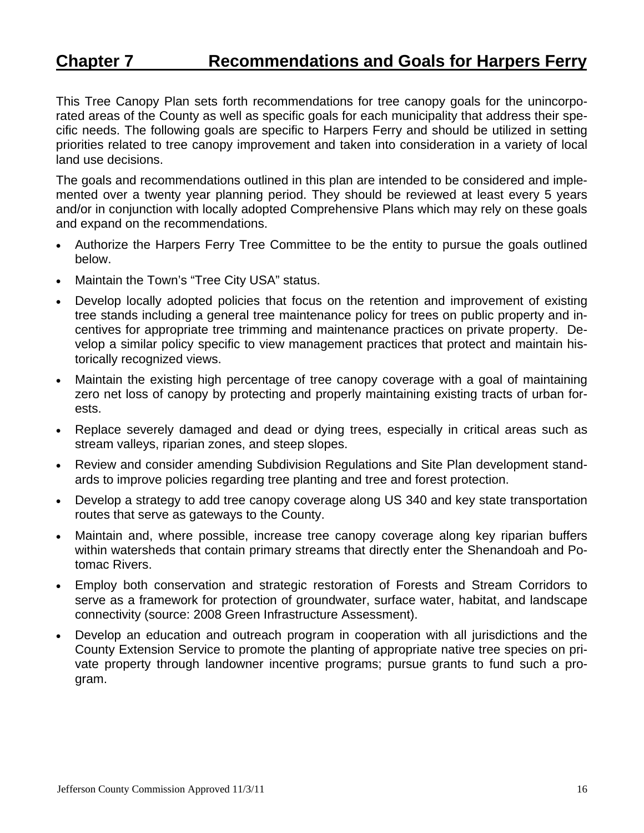## **Chapter 7 Recommendations and Goals for Harpers Ferry**

This Tree Canopy Plan sets forth recommendations for tree canopy goals for the unincorporated areas of the County as well as specific goals for each municipality that address their specific needs. The following goals are specific to Harpers Ferry and should be utilized in setting priorities related to tree canopy improvement and taken into consideration in a variety of local land use decisions.

The goals and recommendations outlined in this plan are intended to be considered and implemented over a twenty year planning period. They should be reviewed at least every 5 years and/or in conjunction with locally adopted Comprehensive Plans which may rely on these goals and expand on the recommendations.

- Authorize the Harpers Ferry Tree Committee to be the entity to pursue the goals outlined below.
- Maintain the Town's "Tree City USA" status.
- Develop locally adopted policies that focus on the retention and improvement of existing tree stands including a general tree maintenance policy for trees on public property and incentives for appropriate tree trimming and maintenance practices on private property. Develop a similar policy specific to view management practices that protect and maintain historically recognized views.
- Maintain the existing high percentage of tree canopy coverage with a goal of maintaining zero net loss of canopy by protecting and properly maintaining existing tracts of urban forests.
- Replace severely damaged and dead or dying trees, especially in critical areas such as stream valleys, riparian zones, and steep slopes.
- Review and consider amending Subdivision Regulations and Site Plan development standards to improve policies regarding tree planting and tree and forest protection.
- Develop a strategy to add tree canopy coverage along US 340 and key state transportation routes that serve as gateways to the County.
- Maintain and, where possible, increase tree canopy coverage along key riparian buffers within watersheds that contain primary streams that directly enter the Shenandoah and Potomac Rivers.
- Employ both conservation and strategic restoration of Forests and Stream Corridors to serve as a framework for protection of groundwater, surface water, habitat, and landscape connectivity (source: 2008 Green Infrastructure Assessment).
- Develop an education and outreach program in cooperation with all jurisdictions and the County Extension Service to promote the planting of appropriate native tree species on private property through landowner incentive programs; pursue grants to fund such a program.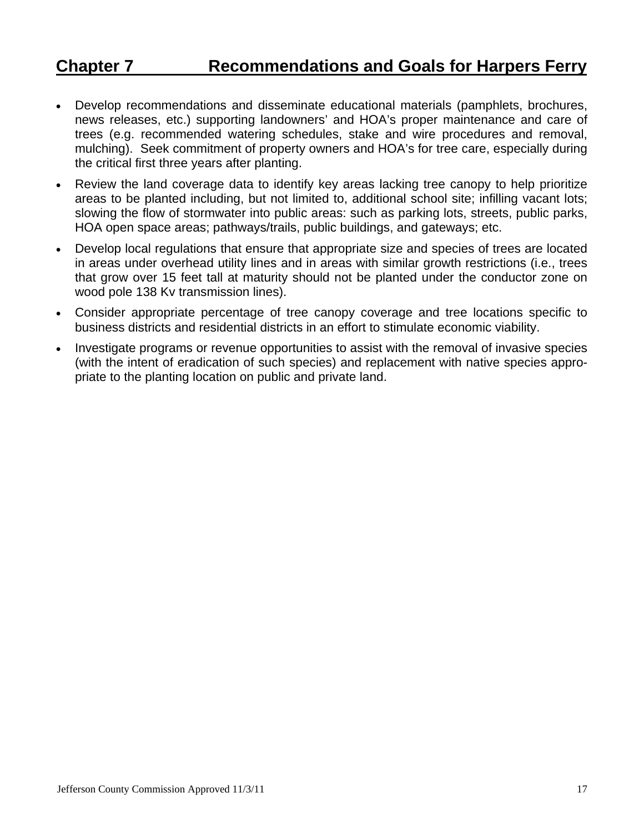## **Chapter 7 Recommendations and Goals for Harpers Ferry**

- Develop recommendations and disseminate educational materials (pamphlets, brochures, news releases, etc.) supporting landowners' and HOA's proper maintenance and care of trees (e.g. recommended watering schedules, stake and wire procedures and removal, mulching). Seek commitment of property owners and HOA's for tree care, especially during the critical first three years after planting.
- Review the land coverage data to identify key areas lacking tree canopy to help prioritize areas to be planted including, but not limited to, additional school site; infilling vacant lots; slowing the flow of stormwater into public areas: such as parking lots, streets, public parks, HOA open space areas; pathways/trails, public buildings, and gateways; etc.
- Develop local regulations that ensure that appropriate size and species of trees are located in areas under overhead utility lines and in areas with similar growth restrictions (i.e., trees that grow over 15 feet tall at maturity should not be planted under the conductor zone on wood pole 138 Kv transmission lines).
- Consider appropriate percentage of tree canopy coverage and tree locations specific to business districts and residential districts in an effort to stimulate economic viability.
- Investigate programs or revenue opportunities to assist with the removal of invasive species (with the intent of eradication of such species) and replacement with native species appropriate to the planting location on public and private land.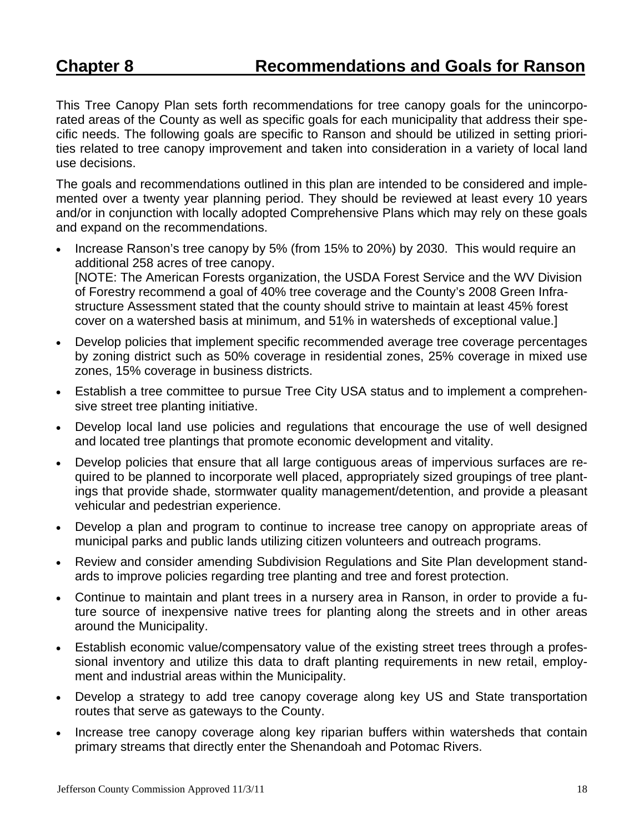This Tree Canopy Plan sets forth recommendations for tree canopy goals for the unincorporated areas of the County as well as specific goals for each municipality that address their specific needs. The following goals are specific to Ranson and should be utilized in setting priorities related to tree canopy improvement and taken into consideration in a variety of local land use decisions.

The goals and recommendations outlined in this plan are intended to be considered and implemented over a twenty year planning period. They should be reviewed at least every 10 years and/or in conjunction with locally adopted Comprehensive Plans which may rely on these goals and expand on the recommendations.

- Increase Ranson's tree canopy by 5% (from 15% to 20%) by 2030. This would require an additional 258 acres of tree canopy. [NOTE: The American Forests organization, the USDA Forest Service and the WV Division of Forestry recommend a goal of 40% tree coverage and the County's 2008 Green Infrastructure Assessment stated that the county should strive to maintain at least 45% forest cover on a watershed basis at minimum, and 51% in watersheds of exceptional value.]
- Develop policies that implement specific recommended average tree coverage percentages by zoning district such as 50% coverage in residential zones, 25% coverage in mixed use zones, 15% coverage in business districts.
- Establish a tree committee to pursue Tree City USA status and to implement a comprehensive street tree planting initiative.
- Develop local land use policies and regulations that encourage the use of well designed and located tree plantings that promote economic development and vitality.
- Develop policies that ensure that all large contiguous areas of impervious surfaces are required to be planned to incorporate well placed, appropriately sized groupings of tree plantings that provide shade, stormwater quality management/detention, and provide a pleasant vehicular and pedestrian experience.
- Develop a plan and program to continue to increase tree canopy on appropriate areas of municipal parks and public lands utilizing citizen volunteers and outreach programs.
- Review and consider amending Subdivision Regulations and Site Plan development standards to improve policies regarding tree planting and tree and forest protection.
- Continue to maintain and plant trees in a nursery area in Ranson, in order to provide a future source of inexpensive native trees for planting along the streets and in other areas around the Municipality.
- Establish economic value/compensatory value of the existing street trees through a professional inventory and utilize this data to draft planting requirements in new retail, employment and industrial areas within the Municipality.
- Develop a strategy to add tree canopy coverage along key US and State transportation routes that serve as gateways to the County.
- Increase tree canopy coverage along key riparian buffers within watersheds that contain primary streams that directly enter the Shenandoah and Potomac Rivers.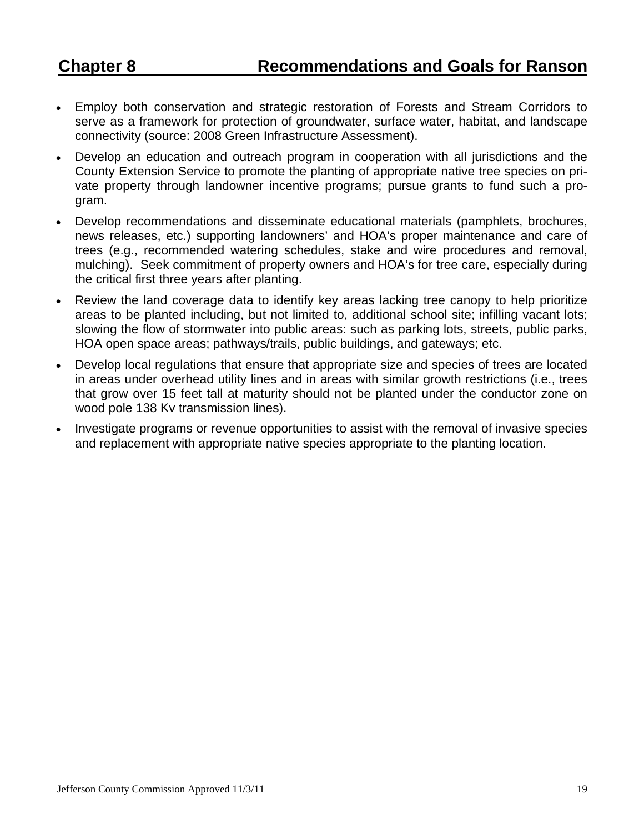- Employ both conservation and strategic restoration of Forests and Stream Corridors to serve as a framework for protection of groundwater, surface water, habitat, and landscape connectivity (source: 2008 Green Infrastructure Assessment).
- Develop an education and outreach program in cooperation with all jurisdictions and the County Extension Service to promote the planting of appropriate native tree species on private property through landowner incentive programs; pursue grants to fund such a program.
- Develop recommendations and disseminate educational materials (pamphlets, brochures, news releases, etc.) supporting landowners' and HOA's proper maintenance and care of trees (e.g., recommended watering schedules, stake and wire procedures and removal, mulching). Seek commitment of property owners and HOA's for tree care, especially during the critical first three years after planting.
- Review the land coverage data to identify key areas lacking tree canopy to help prioritize areas to be planted including, but not limited to, additional school site; infilling vacant lots; slowing the flow of stormwater into public areas: such as parking lots, streets, public parks, HOA open space areas; pathways/trails, public buildings, and gateways; etc.
- Develop local regulations that ensure that appropriate size and species of trees are located in areas under overhead utility lines and in areas with similar growth restrictions (i.e., trees that grow over 15 feet tall at maturity should not be planted under the conductor zone on wood pole 138 Kv transmission lines).
- Investigate programs or revenue opportunities to assist with the removal of invasive species and replacement with appropriate native species appropriate to the planting location.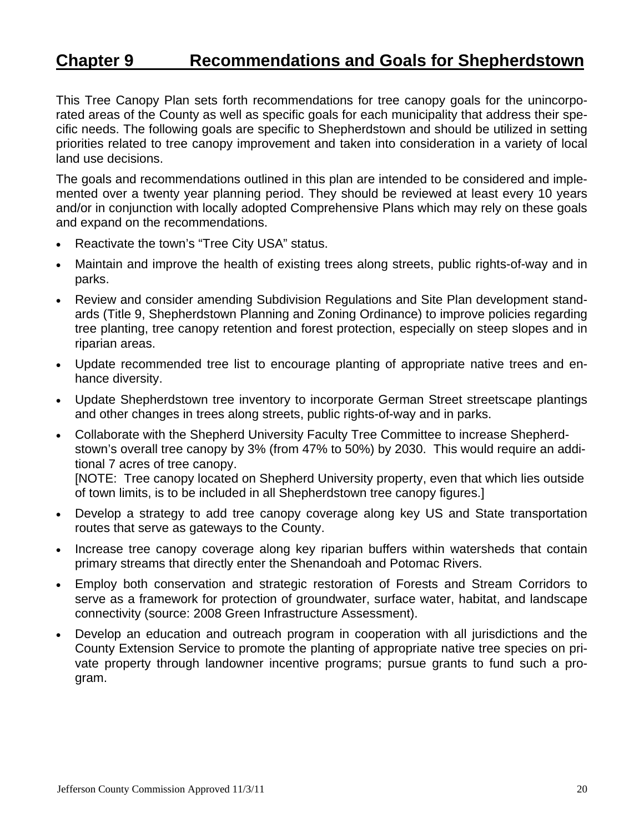## **Chapter 9 Recommendations and Goals for Shepherdstown**

This Tree Canopy Plan sets forth recommendations for tree canopy goals for the unincorporated areas of the County as well as specific goals for each municipality that address their specific needs. The following goals are specific to Shepherdstown and should be utilized in setting priorities related to tree canopy improvement and taken into consideration in a variety of local land use decisions.

The goals and recommendations outlined in this plan are intended to be considered and implemented over a twenty year planning period. They should be reviewed at least every 10 years and/or in conjunction with locally adopted Comprehensive Plans which may rely on these goals and expand on the recommendations.

- Reactivate the town's "Tree City USA" status.
- Maintain and improve the health of existing trees along streets, public rights-of-way and in parks.
- Review and consider amending Subdivision Regulations and Site Plan development standards (Title 9, Shepherdstown Planning and Zoning Ordinance) to improve policies regarding tree planting, tree canopy retention and forest protection, especially on steep slopes and in riparian areas.
- Update recommended tree list to encourage planting of appropriate native trees and enhance diversity.
- Update Shepherdstown tree inventory to incorporate German Street streetscape plantings and other changes in trees along streets, public rights-of-way and in parks.
- Collaborate with the Shepherd University Faculty Tree Committee to increase Shepherdstown's overall tree canopy by 3% (from 47% to 50%) by 2030. This would require an additional 7 acres of tree canopy. [NOTE: Tree canopy located on Shepherd University property, even that which lies outside of town limits, is to be included in all Shepherdstown tree canopy figures.]
- Develop a strategy to add tree canopy coverage along key US and State transportation routes that serve as gateways to the County.
- Increase tree canopy coverage along key riparian buffers within watersheds that contain primary streams that directly enter the Shenandoah and Potomac Rivers.
- Employ both conservation and strategic restoration of Forests and Stream Corridors to serve as a framework for protection of groundwater, surface water, habitat, and landscape connectivity (source: 2008 Green Infrastructure Assessment).
- Develop an education and outreach program in cooperation with all jurisdictions and the County Extension Service to promote the planting of appropriate native tree species on private property through landowner incentive programs; pursue grants to fund such a program.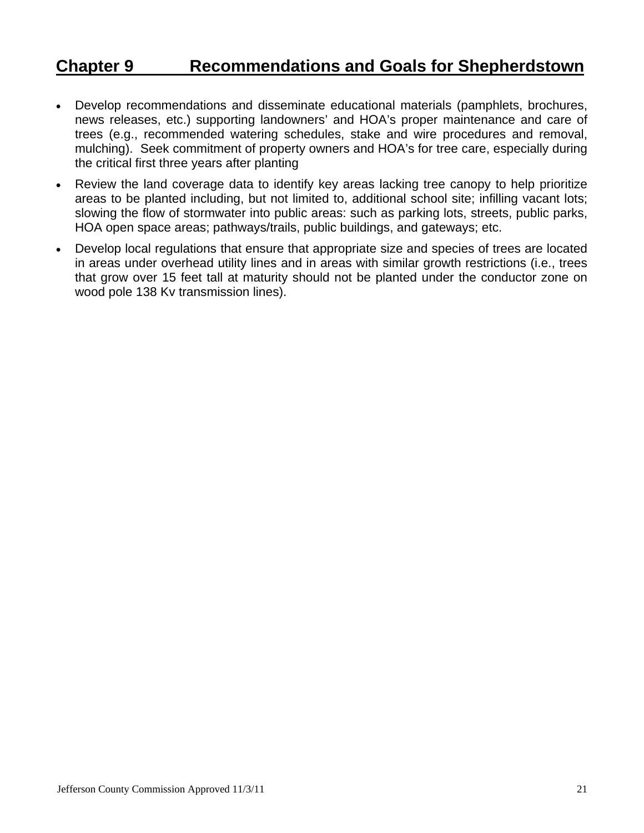## **Chapter 9 Recommendations and Goals for Shepherdstown**

- Develop recommendations and disseminate educational materials (pamphlets, brochures, news releases, etc.) supporting landowners' and HOA's proper maintenance and care of trees (e.g., recommended watering schedules, stake and wire procedures and removal, mulching). Seek commitment of property owners and HOA's for tree care, especially during the critical first three years after planting
- Review the land coverage data to identify key areas lacking tree canopy to help prioritize areas to be planted including, but not limited to, additional school site; infilling vacant lots; slowing the flow of stormwater into public areas: such as parking lots, streets, public parks, HOA open space areas; pathways/trails, public buildings, and gateways; etc.
- Develop local regulations that ensure that appropriate size and species of trees are located in areas under overhead utility lines and in areas with similar growth restrictions (i.e., trees that grow over 15 feet tall at maturity should not be planted under the conductor zone on wood pole 138 Kv transmission lines).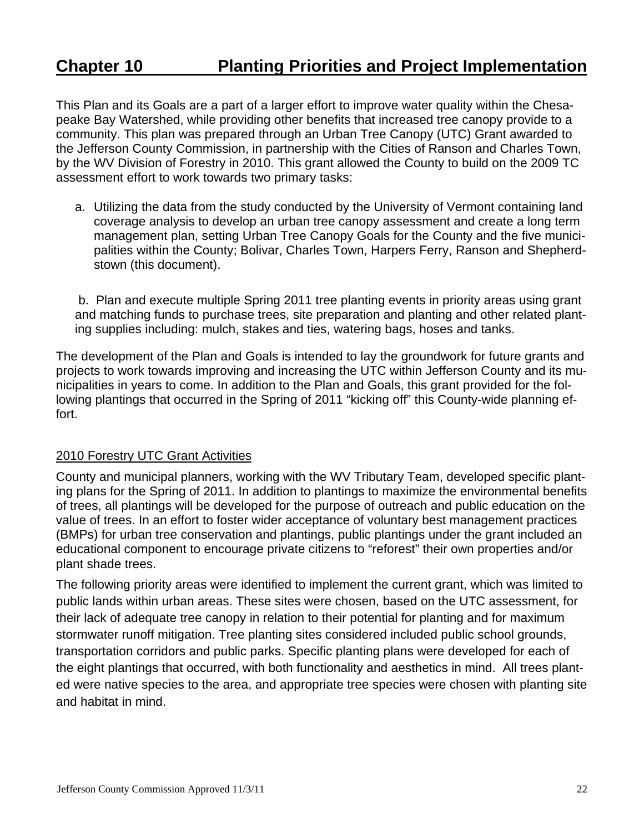## **Chapter 10 Planting Priorities and Project Implementation**

This Plan and its Goals are a part of a larger effort to improve water quality within the Chesapeake Bay Watershed, while providing other benefits that increased tree canopy provide to a community. This plan was prepared through an Urban Tree Canopy (UTC) Grant awarded to the Jefferson County Commission, in partnership with the Cities of Ranson and Charles Town, by the WV Division of Forestry in 2010. This grant allowed the County to build on the 2009 TC assessment effort to work towards two primary tasks:

a. Utilizing the data from the study conducted by the University of Vermont containing land coverage analysis to develop an urban tree canopy assessment and create a long term management plan, setting Urban Tree Canopy Goals for the County and the five municipalities within the County; Bolivar, Charles Town, Harpers Ferry, Ranson and Shepherdstown (this document).

 b. Plan and execute multiple Spring 2011 tree planting events in priority areas using grant and matching funds to purchase trees, site preparation and planting and other related planting supplies including: mulch, stakes and ties, watering bags, hoses and tanks.

The development of the Plan and Goals is intended to lay the groundwork for future grants and projects to work towards improving and increasing the UTC within Jefferson County and its municipalities in years to come. In addition to the Plan and Goals, this grant provided for the following plantings that occurred in the Spring of 2011 "kicking off" this County-wide planning effort.

#### 2010 Forestry UTC Grant Activities

County and municipal planners, working with the WV Tributary Team, developed specific planting plans for the Spring of 2011. In addition to plantings to maximize the environmental benefits of trees, all plantings will be developed for the purpose of outreach and public education on the value of trees. In an effort to foster wider acceptance of voluntary best management practices (BMPs) for urban tree conservation and plantings, public plantings under the grant included an educational component to encourage private citizens to "reforest" their own properties and/or plant shade trees.

The following priority areas were identified to implement the current grant, which was limited to public lands within urban areas. These sites were chosen, based on the UTC assessment, for their lack of adequate tree canopy in relation to their potential for planting and for maximum stormwater runoff mitigation. Tree planting sites considered included public school grounds, transportation corridors and public parks. Specific planting plans were developed for each of the eight plantings that occurred, with both functionality and aesthetics in mind. All trees planted were native species to the area, and appropriate tree species were chosen with planting site and habitat in mind.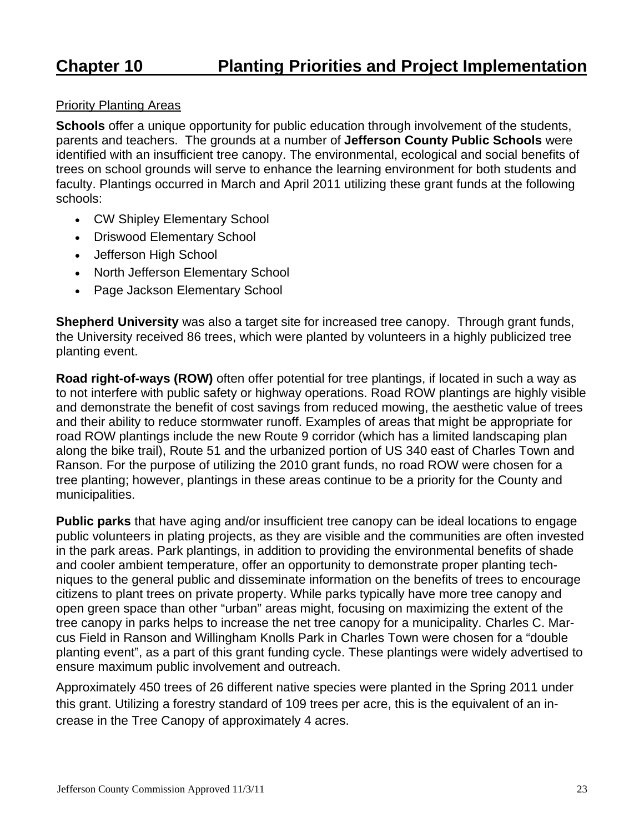## **Chapter 10 Planting Priorities and Project Implementation**

#### Priority Planting Areas

**Schools** offer a unique opportunity for public education through involvement of the students, parents and teachers. The grounds at a number of **Jefferson County Public Schools** were identified with an insufficient tree canopy. The environmental, ecological and social benefits of trees on school grounds will serve to enhance the learning environment for both students and faculty. Plantings occurred in March and April 2011 utilizing these grant funds at the following schools:

- CW Shipley Elementary School
- Driswood Elementary School
- Jefferson High School
- North Jefferson Elementary School
- Page Jackson Elementary School

**Shepherd University** was also a target site for increased tree canopy. Through grant funds, the University received 86 trees, which were planted by volunteers in a highly publicized tree planting event.

**Road right-of-ways (ROW)** often offer potential for tree plantings, if located in such a way as to not interfere with public safety or highway operations. Road ROW plantings are highly visible and demonstrate the benefit of cost savings from reduced mowing, the aesthetic value of trees and their ability to reduce stormwater runoff. Examples of areas that might be appropriate for road ROW plantings include the new Route 9 corridor (which has a limited landscaping plan along the bike trail), Route 51 and the urbanized portion of US 340 east of Charles Town and Ranson. For the purpose of utilizing the 2010 grant funds, no road ROW were chosen for a tree planting; however, plantings in these areas continue to be a priority for the County and municipalities.

**Public parks** that have aging and/or insufficient tree canopy can be ideal locations to engage public volunteers in plating projects, as they are visible and the communities are often invested in the park areas. Park plantings, in addition to providing the environmental benefits of shade and cooler ambient temperature, offer an opportunity to demonstrate proper planting techniques to the general public and disseminate information on the benefits of trees to encourage citizens to plant trees on private property. While parks typically have more tree canopy and open green space than other "urban" areas might, focusing on maximizing the extent of the tree canopy in parks helps to increase the net tree canopy for a municipality. Charles C. Marcus Field in Ranson and Willingham Knolls Park in Charles Town were chosen for a "double planting event", as a part of this grant funding cycle. These plantings were widely advertised to ensure maximum public involvement and outreach.

Approximately 450 trees of 26 different native species were planted in the Spring 2011 under this grant. Utilizing a forestry standard of 109 trees per acre, this is the equivalent of an increase in the Tree Canopy of approximately 4 acres.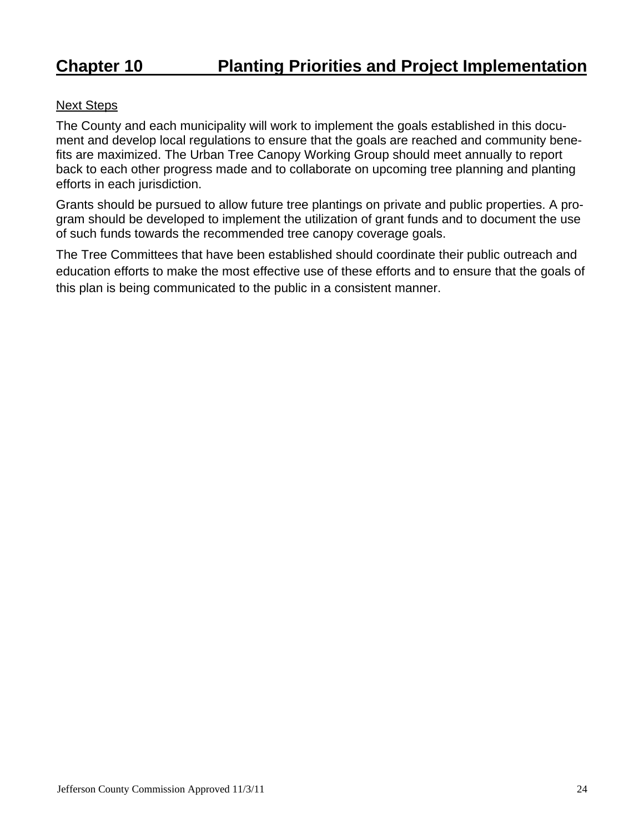#### Next Steps

The County and each municipality will work to implement the goals established in this document and develop local regulations to ensure that the goals are reached and community benefits are maximized. The Urban Tree Canopy Working Group should meet annually to report back to each other progress made and to collaborate on upcoming tree planning and planting efforts in each jurisdiction.

Grants should be pursued to allow future tree plantings on private and public properties. A program should be developed to implement the utilization of grant funds and to document the use of such funds towards the recommended tree canopy coverage goals.

The Tree Committees that have been established should coordinate their public outreach and education efforts to make the most effective use of these efforts and to ensure that the goals of this plan is being communicated to the public in a consistent manner.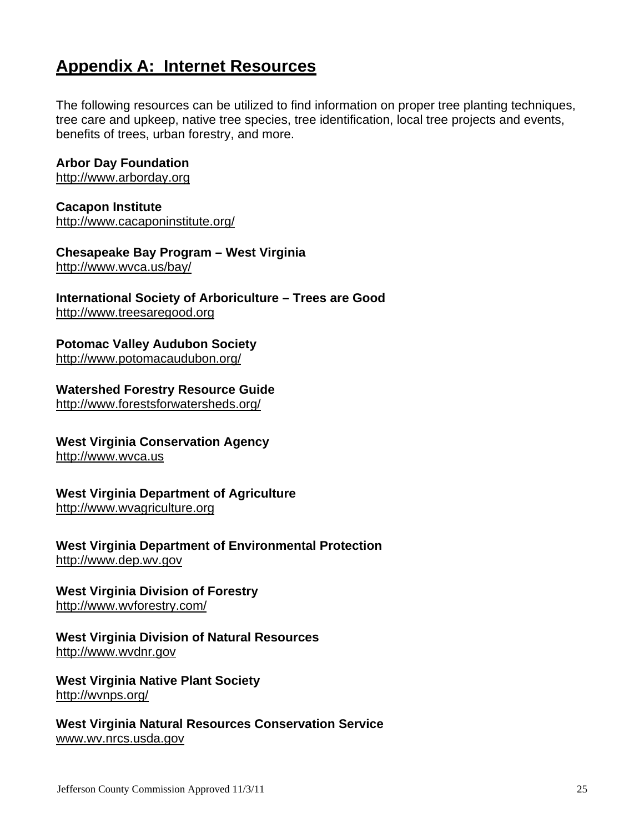## **Appendix A: Internet Resources**

The following resources can be utilized to find information on proper tree planting techniques, tree care and upkeep, native tree species, tree identification, local tree projects and events, benefits of trees, urban forestry, and more.

#### **Arbor Day Foundation**

http://www.arborday.org

**Cacapon Institute**  http://www.cacaponinstitute.org/

**Chesapeake Bay Program – West Virginia**  http://www.wvca.us/bay/

**International Society of Arboriculture – Trees are Good**  http://www.treesaregood.org

**Potomac Valley Audubon Society**  http://www.potomacaudubon.org/

**Watershed Forestry Resource Guide**  http://www.forestsforwatersheds.org/

**West Virginia Conservation Agency**  http://www.wvca.us

**West Virginia Department of Agriculture**  http://www.wvagriculture.org

**West Virginia Department of Environmental Protection**  http://www.dep.wv.gov

**West Virginia Division of Forestry**  http://www.wvforestry.com/

**West Virginia Division of Natural Resources**  http://www.wvdnr.gov

**West Virginia Native Plant Society**  http://wvnps.org/

**West Virginia Natural Resources Conservation Service**  www.wv.nrcs.usda.gov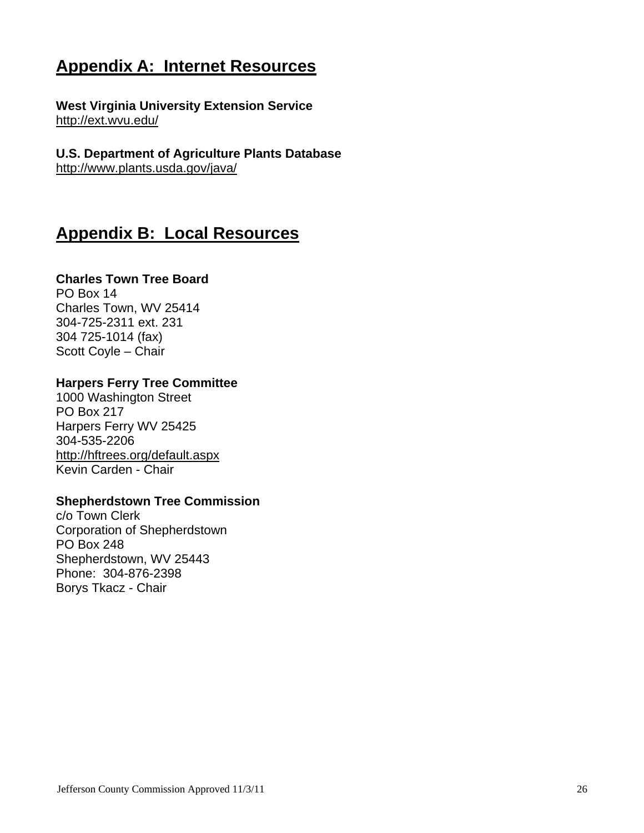## **Appendix A: Internet Resources**

**West Virginia University Extension Service**  http://ext.wvu.edu/

#### **U.S. Department of Agriculture Plants Database**  http://www.plants.usda.gov/java/

# **Appendix B: Local Resources**

### **Charles Town Tree Board**

PO Box 14 Charles Town, WV 25414 304-725-2311 ext. 231 304 725-1014 (fax) Scott Coyle – Chair

### **Harpers Ferry Tree Committee**

1000 Washington Street PO Box 217 Harpers Ferry WV 25425 304-535-2206 http://hftrees.org/default.aspx Kevin Carden - Chair

#### **Shepherdstown Tree Commission**

c/o Town Clerk Corporation of Shepherdstown PO Box 248 Shepherdstown, WV 25443 Phone: 304-876-2398 Borys Tkacz - Chair